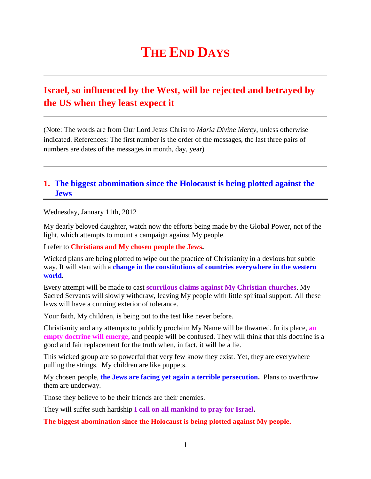# **THE END DAYS**

## **Israel, so influenced by the West, will be rejected and betrayed by the US when they least expect it**

(Note: The words are from Our Lord Jesus Christ to *Maria Divine Mercy*, unless otherwise indicated. References: The first number is the order of the messages, the last three pairs of numbers are dates of the messages in month, day, year)

## **1. [The biggest abomination since the Holocaust is being plotted against the](http://www.thewarningsecondcoming.com/the-biggest-abomination-since-the-holocaust-is-being-plotted-against-the-jews/)  [Jews](http://www.thewarningsecondcoming.com/the-biggest-abomination-since-the-holocaust-is-being-plotted-against-the-jews/)**

Wednesday, January 11th, 2012

My dearly beloved daughter, watch now the efforts being made by the Global Power, not of the light, which attempts to mount a campaign against My people.

I refer to **Christians and My chosen people the Jews.**

Wicked plans are being plotted to wipe out the practice of Christianity in a devious but subtle way. It will start with a **change in the constitutions of countries everywhere in the western world.**

Every attempt will be made to cast **scurrilous claims against My Christian churches**. My Sacred Servants will slowly withdraw, leaving My people with little spiritual support. All these laws will have a cunning exterior of tolerance.

Your faith, My children, is being put to the test like never before.

Christianity and any attempts to publicly proclaim My Name will be thwarted. In its place, **an empty doctrine will emerge,** and people will be confused. They will think that this doctrine is a good and fair replacement for the truth when, in fact, it will be a lie.

This wicked group are so powerful that very few know they exist. Yet, they are everywhere pulling the strings. My children are like puppets.

My chosen people, **the Jews are facing yet again a terrible persecution.** Plans to overthrow them are underway.

Those they believe to be their friends are their enemies.

They will suffer such hardship **I call on all mankind to pray for Israel.**

**The biggest abomination since the Holocaust is being plotted against My people.**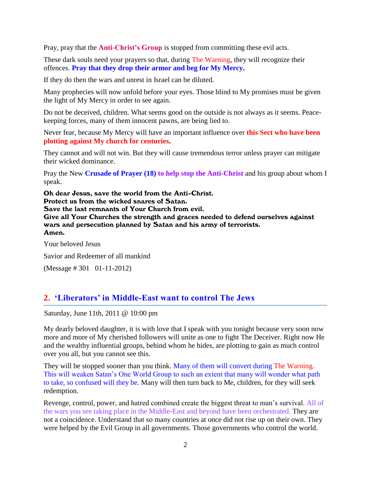Pray, pray that the **Anti-Christ's Group** is stopped from committing these evil acts.

These dark souls need your prayers so that, during The Warning, they will recognize their offences. **Pray that they drop their armor and beg for My Mercy.**

If they do then the wars and unrest in Israel can be diluted.

Many prophecies will now unfold before your eyes. Those blind to My promises must be given the light of My Mercy in order to see again.

Do not be deceived, children. What seems good on the outside is not always as it seems. Peacekeeping forces, many of them innocent pawns, are being lied to.

Never fear, because My Mercy will have an important influence over **this Sect who have been plotting against My church for centuries.**

They cannot and will not win. But they will cause tremendous terror unless prayer can mitigate their wicked dominance.

Pray the New **Crusade of Prayer (18) to help stop the Anti-Christ** and his group about whom I speak.

Oh dear Jesus, save the world from the Anti-Christ. Protect us from the wicked snares of Satan. Save the last remnants of Your Church from evil. Give all Your Churches the strength and graces needed to defend ourselves against wars and persecution planned by Satan and his army of terrorists. Amen.

Your beloved Jesus

Savior and Redeemer of all mankind

(Message # 301 01-11-2012)

## **2. ['Liberators' in Middle-East want to control The Jews](http://www.thewarningsecondcoming.com/liberators-in-middle-east-want-to-control-the-jews/)**

Saturday, June 11th, 2011 @ 10:00 pm

My dearly beloved daughter, it is with love that I speak with you tonight because very soon now more and more of My cherished followers will unite as one to fight The Deceiver. Right now He and the wealthy influential groups, behind whom he hides, are plotting to gain as much control over you all, but you cannot see this.

They will be stopped sooner than you think. Many of them will convert during The Warning. This will weaken Satan's One World Group to such an extent that many will wonder what path to take, so confused will they be. Many will then turn back to Me, children, for they will seek redemption.

Revenge, control, power, and hatred combined create the biggest threat to man's survival. All of the wars you see taking place in the Middle-East and beyond have been orchestrated. They are not a coincidence. Understand that so many countries at once did not rise up on their own. They were helped by the Evil Group in all governments. Those governments who control the world.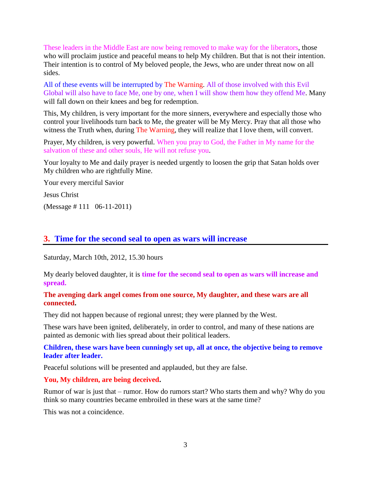These leaders in the Middle East are now being removed to make way for the liberators, those who will proclaim justice and peaceful means to help My children. But that is not their intention. Their intention is to control of My beloved people, the Jews, who are under threat now on all sides.

All of these events will be interrupted by The Warning. All of those involved with this Evil Global will also have to face Me, one by one, when I will show them how they offend Me. Many will fall down on their knees and beg for redemption.

This, My children, is very important for the more sinners, everywhere and especially those who control your livelihoods turn back to Me, the greater will be My Mercy. Pray that all those who witness the Truth when, during The Warning, they will realize that I love them, will convert.

Prayer, My children, is very powerful. When you pray to God, the Father in My name for the salvation of these and other souls, He will not refuse you.

Your loyalty to Me and daily prayer is needed urgently to loosen the grip that Satan holds over My children who are rightfully Mine.

Your every merciful Savior

Jesus Christ

(Message # 111 06-11-2011)

## **3. [Time for the second seal to open as wars will increase](http://www.thewarningsecondcoming.com/time-for-the-second-seal-to-open-as-wars-will-increase/)**

Saturday, March 10th, 2012, 15.30 hours

My dearly beloved daughter, it is **time for the second seal to open as wars will increase and spread.**

#### **The avenging dark angel comes from one source, My daughter, and these wars are all connected.**

They did not happen because of regional unrest; they were planned by the West.

These wars have been ignited, deliberately, in order to control, and many of these nations are painted as demonic with lies spread about their political leaders.

**Children, these wars have been cunningly set up, all at once, the objective being to remove leader after leader.**

Peaceful solutions will be presented and applauded, but they are false.

#### **You, My children, are being deceived.**

Rumor of war is just that – rumor. How do rumors start? Who starts them and why? Why do you think so many countries became embroiled in these wars at the same time?

This was not a coincidence.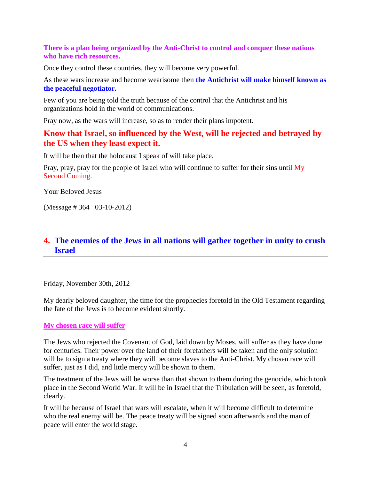#### **There is a plan being organized by the Anti-Christ to control and conquer these nations who have rich resources.**

Once they control these countries, they will become very powerful.

As these wars increase and become wearisome then **the Antichrist will make himself known as the peaceful negotiator.**

Few of you are being told the truth because of the control that the Antichrist and his organizations hold in the world of communications.

Pray now, as the wars will increase, so as to render their plans impotent.

## **Know that Israel, so influenced by the West, will be rejected and betrayed by the US when they least expect it.**

It will be then that the holocaust I speak of will take place.

Pray, pray, pray for the people of Israel who will continue to suffer for their sins until My Second Coming.

Your Beloved Jesus

(Message # 364 03-10-2012)

## **4. [The enemies of the Jews in all nations will gather together in unity to crush](http://www.thewarningsecondcoming.com/the-enemies-of-the-jews-in-all-nations-will-gather-together-in-unity-to-crush-israel-2/)  [Israel](http://www.thewarningsecondcoming.com/the-enemies-of-the-jews-in-all-nations-will-gather-together-in-unity-to-crush-israel-2/)**

Friday, November 30th, 2012

My dearly beloved daughter, the time for the prophecies foretold in the Old Testament regarding the fate of the Jews is to become evident shortly.

#### **My chosen race will suffer**

The Jews who rejected the Covenant of God, laid down by Moses, will suffer as they have done for centuries. Their power over the land of their forefathers will be taken and the only solution will be to sign a treaty where they will become slaves to the Anti-Christ. My chosen race will suffer, just as I did, and little mercy will be shown to them.

The treatment of the Jews will be worse than that shown to them during the genocide, which took place in the Second World War. It will be in Israel that the Tribulation will be seen, as foretold, clearly.

It will be because of Israel that wars will escalate, when it will become difficult to determine who the real enemy will be. The peace treaty will be signed soon afterwards and the man of peace will enter the world stage.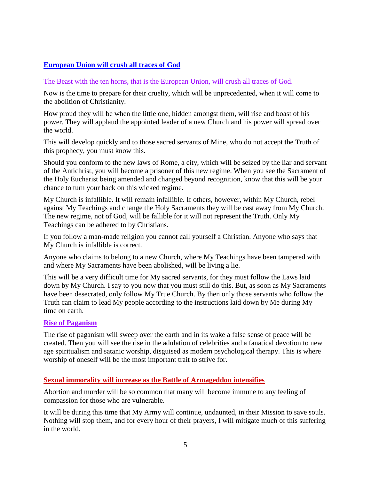### **European Union will crush all traces of God**

#### The Beast with the ten horns, that is the European Union, will crush all traces of God.

Now is the time to prepare for their cruelty, which will be unprecedented, when it will come to the abolition of Christianity.

How proud they will be when the little one, hidden amongst them, will rise and boast of his power. They will applaud the appointed leader of a new Church and his power will spread over the world.

This will develop quickly and to those sacred servants of Mine, who do not accept the Truth of this prophecy, you must know this.

Should you conform to the new laws of Rome, a city, which will be seized by the liar and servant of the Antichrist, you will become a prisoner of this new regime. When you see the Sacrament of the Holy Eucharist being amended and changed beyond recognition, know that this will be your chance to turn your back on this wicked regime.

My Church is infallible. It will remain infallible. If others, however, within My Church, rebel against My Teachings and change the Holy Sacraments they will be cast away from My Church. The new regime, not of God, will be fallible for it will not represent the Truth. Only My Teachings can be adhered to by Christians.

If you follow a man-made religion you cannot call yourself a Christian. Anyone who says that My Church is infallible is correct.

Anyone who claims to belong to a new Church, where My Teachings have been tampered with and where My Sacraments have been abolished, will be living a lie.

This will be a very difficult time for My sacred servants, for they must follow the Laws laid down by My Church. I say to you now that you must still do this. But, as soon as My Sacraments have been desecrated, only follow My True Church. By then only those servants who follow the Truth can claim to lead My people according to the instructions laid down by Me during My time on earth.

#### **Rise of Paganism**

The rise of paganism will sweep over the earth and in its wake a false sense of peace will be created. Then you will see the rise in the adulation of celebrities and a fanatical devotion to new age spiritualism and satanic worship, disguised as modern psychological therapy. This is where worship of oneself will be the most important trait to strive for.

#### **Sexual immorality will increase as the Battle of Armageddon intensifies**

Abortion and murder will be so common that many will become immune to any feeling of compassion for those who are vulnerable.

It will be during this time that My Army will continue, undaunted, in their Mission to save souls. Nothing will stop them, and for every hour of their prayers, I will mitigate much of this suffering in the world.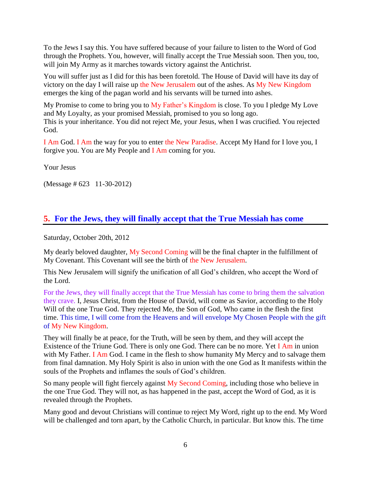To the Jews I say this. You have suffered because of your failure to listen to the Word of God through the Prophets. You, however, will finally accept the True Messiah soon. Then you, too, will join My Army as it marches towards victory against the Antichrist.

You will suffer just as I did for this has been foretold. The House of David will have its day of victory on the day I will raise up the New Jerusalem out of the ashes. As My New Kingdom emerges the king of the pagan world and his servants will be turned into ashes.

My Promise to come to bring you to My Father's Kingdom is close. To you I pledge My Love and My Loyalty, as your promised Messiah, promised to you so long ago. This is your inheritance. You did not reject Me, your Jesus, when I was crucified. You rejected God.

I Am God. I Am the way for you to enter the New Paradise. Accept My Hand for I love you, I forgive you. You are My People and I Am coming for you.

Your Jesus

(Message # 623 11-30-2012)

## **5. [For the Jews, they will finally accept that the True Messiah has come](http://www.thewarningsecondcoming.com/for-the-jews-they-will-finally-accept-that-the-true-messiah-has-come/)**

Saturday, October 20th, 2012

My dearly beloved daughter, My Second Coming will be the final chapter in the fulfillment of My Covenant. This Covenant will see the birth of the New Jerusalem.

This New Jerusalem will signify the unification of all God's children, who accept the Word of the Lord.

For the Jews, they will finally accept that the True Messiah has come to bring them the salvation they crave. I, Jesus Christ, from the House of David, will come as Savior, according to the Holy Will of the one True God. They rejected Me, the Son of God, Who came in the flesh the first time. This time, I will come from the Heavens and will envelope My Chosen People with the gift of My New Kingdom.

They will finally be at peace, for the Truth, will be seen by them, and they will accept the Existence of the Triune God. There is only one God. There can be no more. Yet I Am in union with My Father. I Am God. I came in the flesh to show humanity My Mercy and to salvage them from final damnation. My Holy Spirit is also in union with the one God as It manifests within the souls of the Prophets and inflames the souls of God's children.

So many people will fight fiercely against My Second Coming, including those who believe in the one True God. They will not, as has happened in the past, accept the Word of God, as it is revealed through the Prophets.

Many good and devout Christians will continue to reject My Word, right up to the end. My Word will be challenged and torn apart, by the Catholic Church, in particular. But know this. The time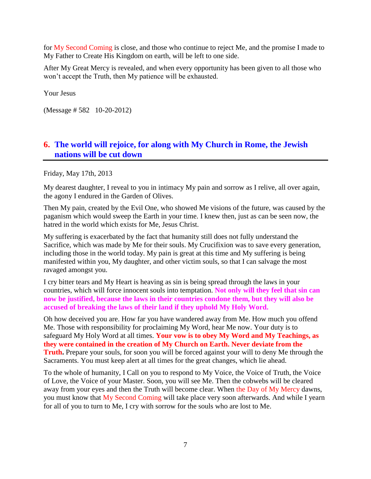for My Second Coming is close, and those who continue to reject Me, and the promise I made to My Father to Create His Kingdom on earth, will be left to one side.

After My Great Mercy is revealed, and when every opportunity has been given to all those who won't accept the Truth, then My patience will be exhausted.

Your Jesus

(Message # 582 10-20-2012)

## **6. [The world will rejoice, for along with My Church in Rome, the Jewish](http://www.thewarningsecondcoming.com/the-world-will-rejoice-for-along-with-my-church-in-rome-the-jewish-nations-will-be-cut-down/)  [nations will be cut down](http://www.thewarningsecondcoming.com/the-world-will-rejoice-for-along-with-my-church-in-rome-the-jewish-nations-will-be-cut-down/)**

Friday, May 17th, 2013

My dearest daughter, I reveal to you in intimacy My pain and sorrow as I relive, all over again, the agony I endured in the Garden of Olives.

Then My pain, created by the Evil One, who showed Me visions of the future, was caused by the paganism which would sweep the Earth in your time. I knew then, just as can be seen now, the hatred in the world which exists for Me, Jesus Christ.

My suffering is exacerbated by the fact that humanity still does not fully understand the Sacrifice, which was made by Me for their souls. My Crucifixion was to save every generation, including those in the world today. My pain is great at this time and My suffering is being manifested within you, My daughter, and other victim souls, so that I can salvage the most ravaged amongst you.

I cry bitter tears and My Heart is heaving as sin is being spread through the laws in your countries, which will force innocent souls into temptation. **Not only will they feel that sin can now be justified, because the laws in their countries condone them, but they will also be accused of breaking the laws of their land if they uphold My Holy Word.**

Oh how deceived you are. How far you have wandered away from Me. How much you offend Me. Those with responsibility for proclaiming My Word, hear Me now. Your duty is to safeguard My Holy Word at all times. **Your vow is to obey My Word and My Teachings, as they were contained in the creation of My Church on Earth. Never deviate from the Truth.** Prepare your souls, for soon you will be forced against your will to deny Me through the Sacraments. You must keep alert at all times for the great changes, which lie ahead.

To the whole of humanity, I Call on you to respond to My Voice, the Voice of Truth, the Voice of Love, the Voice of your Master. Soon, you will see Me. Then the cobwebs will be cleared away from your eyes and then the Truth will become clear. When the Day of My Mercy dawns, you must know that My Second Coming will take place very soon afterwards. And while I yearn for all of you to turn to Me, I cry with sorrow for the souls who are lost to Me.